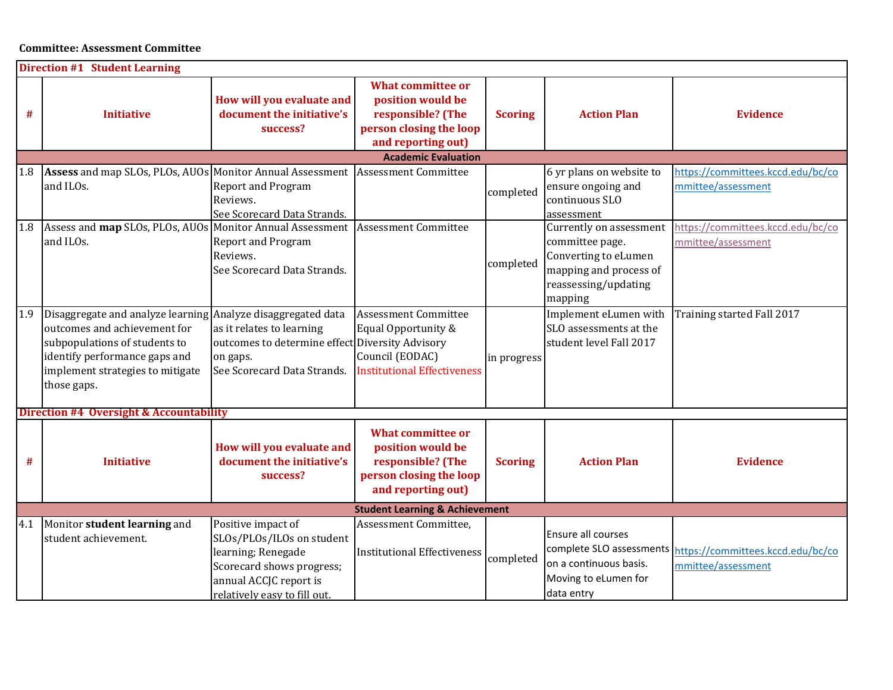## Committee: Assessment Committee

| <b>Direction #1 Student Learning</b>               |                                                                                                                                                                                                                   |                                                                                                                                                              |                                                                                                                     |                |                                                                                                                                 |                                                                                  |  |  |  |
|----------------------------------------------------|-------------------------------------------------------------------------------------------------------------------------------------------------------------------------------------------------------------------|--------------------------------------------------------------------------------------------------------------------------------------------------------------|---------------------------------------------------------------------------------------------------------------------|----------------|---------------------------------------------------------------------------------------------------------------------------------|----------------------------------------------------------------------------------|--|--|--|
| #                                                  | <b>Initiative</b>                                                                                                                                                                                                 | How will you evaluate and<br>document the initiative's<br>success?                                                                                           | <b>What committee or</b><br>position would be<br>responsible? (The<br>person closing the loop<br>and reporting out) | <b>Scoring</b> | <b>Action Plan</b>                                                                                                              | <b>Evidence</b>                                                                  |  |  |  |
|                                                    |                                                                                                                                                                                                                   |                                                                                                                                                              | <b>Academic Evaluation</b>                                                                                          |                |                                                                                                                                 |                                                                                  |  |  |  |
| 1.8                                                | Assess and map SLOs, PLOs, AUOs Monitor Annual Assessment<br>and ILOs.                                                                                                                                            | <b>Report and Program</b><br>Reviews.<br>See Scorecard Data Strands.                                                                                         | <b>Assessment Committee</b>                                                                                         | completed      | 6 yr plans on website to<br>ensure ongoing and<br>continuous SLO<br>assessment                                                  | https://committees.kccd.edu/bc/co<br>mmittee/assessment                          |  |  |  |
| 1.8                                                | Assess and map SLOs, PLOs, AUOs Monitor Annual Assessment<br>and ILOs.                                                                                                                                            | Report and Program<br>Reviews.<br>See Scorecard Data Strands.                                                                                                | <b>Assessment Committee</b>                                                                                         | completed      | Currently on assessment<br>committee page.<br>Converting to eLumen<br>mapping and process of<br>reassessing/updating<br>mapping | https://committees.kccd.edu/bc/co<br>mmittee/assessment                          |  |  |  |
| 1.9                                                | Disaggregate and analyze learning Analyze disaggregated data<br>outcomes and achievement for<br>subpopulations of students to<br>identify performance gaps and<br>implement strategies to mitigate<br>those gaps. | as it relates to learning<br>outcomes to determine effect Diversity Advisory<br>on gaps.<br>See Scorecard Data Strands.                                      | <b>Assessment Committee</b><br>Equal Opportunity &<br>Council (EODAC)<br><b>Institutional Effectiveness</b>         | in progress    | Implement eLumen with<br>SLO assessments at the<br>student level Fall 2017                                                      | Training started Fall 2017                                                       |  |  |  |
| <b>Direction #4 Oversight &amp; Accountability</b> |                                                                                                                                                                                                                   |                                                                                                                                                              |                                                                                                                     |                |                                                                                                                                 |                                                                                  |  |  |  |
| #                                                  | <b>Initiative</b>                                                                                                                                                                                                 | How will you evaluate and<br>document the initiative's<br>success?                                                                                           | <b>What committee or</b><br>position would be<br>responsible? (The<br>person closing the loop<br>and reporting out) | <b>Scoring</b> | <b>Action Plan</b>                                                                                                              | <b>Evidence</b>                                                                  |  |  |  |
|                                                    |                                                                                                                                                                                                                   |                                                                                                                                                              | <b>Student Learning &amp; Achievement</b>                                                                           |                |                                                                                                                                 |                                                                                  |  |  |  |
| 4.1                                                | Monitor student learning and<br>student achievement.                                                                                                                                                              | Positive impact of<br>SLOs/PLOs/ILOs on student<br>learning; Renegade<br>Scorecard shows progress;<br>annual ACCJC report is<br>relatively easy to fill out. | Assessment Committee,<br><b>Institutional Effectiveness</b>                                                         | completed      | Ensure all courses<br>on a continuous basis.<br>Moving to eLumen for<br>data entry                                              | complete SLO assessments https://committees.kccd.edu/bc/co<br>mmittee/assessment |  |  |  |